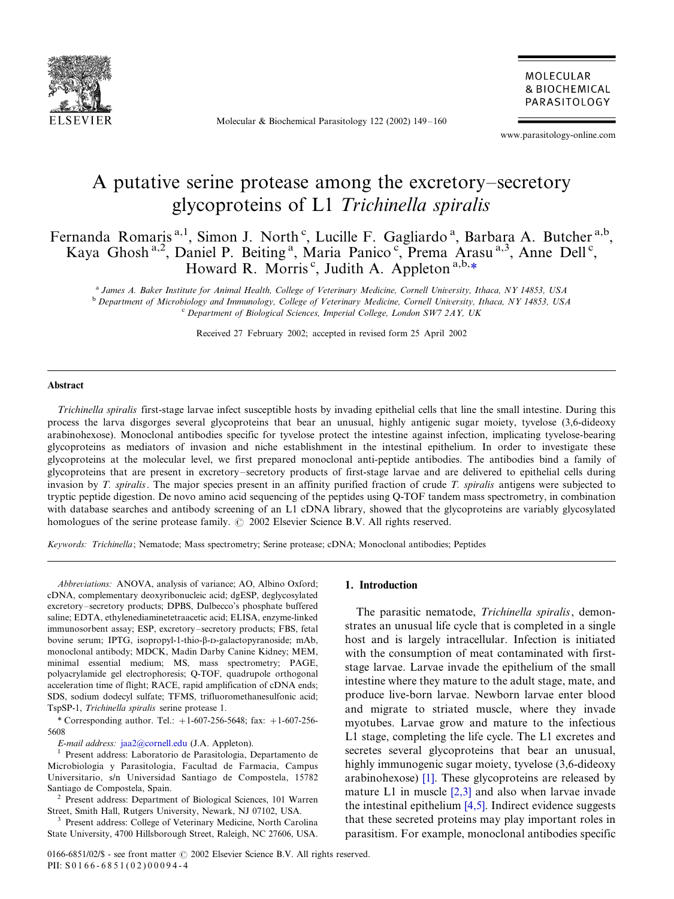

Molecular & Biochemical Parasitology 122 (2002) 149-160

MOLECULAR **& BIOCHEMICAL** PARASITOLOGY

www.parasitology-online.com

# A putative serine protease among the excretory–secretory glycoproteins of L1 Trichinella spiralis

Fernanda Romaris<sup>a, 1</sup>, Simon J. North<sup>c</sup>, Lucille F. Gagliardo<sup>a</sup>, Barbara A. Butcher<sup>a, b</sup>, Kaya Ghosh<sup>a,2</sup>, Daniel P. Beiting<sup>a</sup>, Maria Panico<sup>c</sup>, Prema Arasu<sup>a,3</sup>, Anne Dell<sup>c</sup>, Howard R. Morris<sup>c</sup>, Judith A. Appleton<sup>a,b,\*</sup>

<sup>a</sup> James A. Baker Institute for Animal Health, College of Veterinary Medicine, Cornell University, Ithaca, NY 14853, USA<br><sup>b</sup> Department of Microbiology and Immunology, College of Veterinary Medicine, Cornell University,

Received 27 February 2002; accepted in revised form 25 April 2002

#### Abstract

Trichinella spiralis first-stage larvae infect susceptible hosts by invading epithelial cells that line the small intestine. During this process the larva disgorges several glycoproteins that bear an unusual, highly antigenic sugar moiety, tyvelose (3,6-dideoxy arabinohexose). Monoclonal antibodies specific for tyvelose protect the intestine against infection, implicating tyvelose-bearing glycoproteins as mediators of invasion and niche establishment in the intestinal epithelium. In order to investigate these glycoproteins at the molecular level, we first prepared monoclonal anti-peptide antibodies. The antibodies bind a family of glycoproteins that are present in excretory-secretory products of first-stage larvae and are delivered to epithelial cells during invasion by T. spiralis. The major species present in an affinity purified fraction of crude T. spiralis antigens were subjected to tryptic peptide digestion. De novo amino acid sequencing of the peptides using Q-TOF tandem mass spectrometry, in combination with database searches and antibody screening of an L1 cDNA library, showed that the glycoproteins are variably glycosylated homologues of the serine protease family.  $\odot$  2002 Elsevier Science B.V. All rights reserved.

Keywords: Trichinella; Nematode; Mass spectrometry; Serine protease; cDNA; Monoclonal antibodies; Peptides

Abbreviations: ANOVA, analysis of variance; AO, Albino Oxford; cDNA, complementary deoxyribonucleic acid; dgESP, deglycosylated excretory-secretory products; DPBS, Dulbecco's phosphate buffered saline; EDTA, ethylenediaminetetraacetic acid; ELISA, enzyme-linked immunosorbent assay; ESP, excretory-secretory products; FBS, fetal bovine serum; IPTG, isopropyl-1-thio-b-D-galactopyranoside; mAb, monoclonal antibody; MDCK, Madin Darby Canine Kidney; MEM, minimal essential medium; MS, mass spectrometry; PAGE, polyacrylamide gel electrophoresis; Q-TOF, quadrupole orthogonal acceleration time of flight; RACE, rapid amplification of cDNA ends; SDS, sodium dodecyl sulfate; TFMS, trifluoromethanesulfonic acid; TspSP-1, Trichinella spiralis serine protease 1.

\* Corresponding author. Tel.:  $+1-607-256-5648$ ; fax:  $+1-607-256-$ 5608

E-mail address: [jaa2@cornell.edu](mailto:jaa2@cornell.edu) (J.A. Appleton). <sup>1</sup> Present address: Laboratorio de Parasitologia, Departamento de Microbiologia y Parasitologia, Facultad de Farmacia, Campus Universitario, s/n Universidad Santiago de Compostela, 15782 Santiago de Compostela, Spain.

<sup>2</sup> Present address: Department of Biological Sciences, 101 Warren Street, Smith Hall, Rutgers University, Newark, NJ 07102, USA. <sup>3</sup> Present address: College of Veterinary Medicine, North Carolina

State University, 4700 Hillsborough Street, Raleigh, NC 27606, USA.

## 1. Introduction

The parasitic nematode, Trichinella spiralis, demonstrates an unusual life cycle that is completed in a single host and is largely intracellular. Infection is initiated with the consumption of meat contaminated with firststage larvae. Larvae invade the epithelium of the small intestine where they mature to the adult stage, mate, and produce live-born larvae. Newborn larvae enter blood and migrate to striated muscle, where they invade myotubes. Larvae grow and mature to the infectious L1 stage, completing the life cycle. The L1 excretes and secretes several glycoproteins that bear an unusual, highly immunogenic sugar moiety, tyvelose (3,6-dideoxy arabinohexose) [\[1\].](#page-9-0) These glycoproteins are released by mature L1 in muscle [\[2,3\]](#page-9-0) and also when larvae invade the intestinal epithelium [\[4,5\]](#page-9-0). Indirect evidence suggests that these secreted proteins may play important roles in parasitism. For example, monoclonal antibodies specific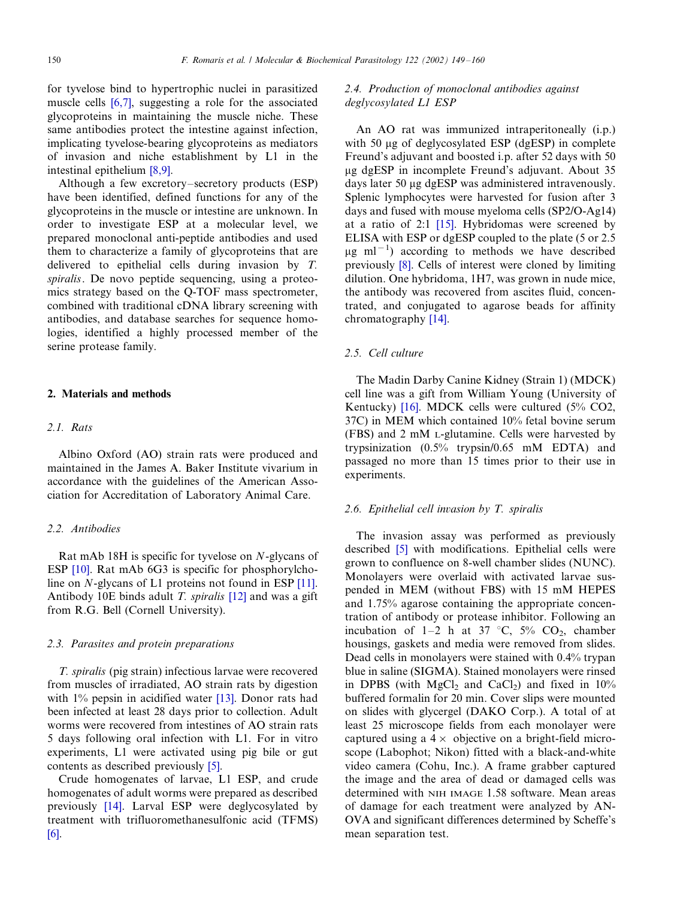for tyvelose bind to hypertrophic nuclei in parasitized muscle cells [\[6,7\]](#page-9-0), suggesting a role for the associated glycoproteins in maintaining the muscle niche. These same antibodies protect the intestine against infection, implicating tyvelose-bearing glycoproteins as mediators of invasion and niche establishment by L1 in the intestinal epithelium [\[8,9\]](#page-10-0).

Although a few excretory-secretory products (ESP) have been identified, defined functions for any of the glycoproteins in the muscle or intestine are unknown. In order to investigate ESP at a molecular level, we prepared monoclonal anti-peptide antibodies and used them to characterize a family of glycoproteins that are delivered to epithelial cells during invasion by T. spiralis. De novo peptide sequencing, using a proteomics strategy based on the Q-TOF mass spectrometer, combined with traditional cDNA library screening with antibodies, and database searches for sequence homologies, identified a highly processed member of the serine protease family.

### 2. Materials and methods

#### 2.1. Rats

Albino Oxford (AO) strain rats were produced and maintained in the James A. Baker Institute vivarium in accordance with the guidelines of the American Association for Accreditation of Laboratory Animal Care.

#### 2.2. Antibodies

Rat mAb 18H is specific for tyvelose on N-glycans of ESP [\[10\]](#page-10-0). Rat mAb 6G3 is specific for phosphorylcholine on N-glycans of L1 proteins not found in ESP [\[11\]](#page-10-0). Antibody 10E binds adult T. spiralis [\[12\]](#page-10-0) and was a gift from R.G. Bell (Cornell University).

### 2.3. Parasites and protein preparations

T. spiralis (pig strain) infectious larvae were recovered from muscles of irradiated, AO strain rats by digestion with 1% pepsin in acidified water [\[13\].](#page-10-0) Donor rats had been infected at least 28 days prior to collection. Adult worms were recovered from intestines of AO strain rats 5 days following oral infection with L1. For in vitro experiments, L1 were activated using pig bile or gut contents as described previously [\[5\]](#page-9-0).

Crude homogenates of larvae, L1 ESP, and crude homogenates of adult worms were prepared as described previously [\[14\].](#page-10-0) Larval ESP were deglycosylated by treatment with trifluoromethanesulfonic acid (TFMS) [\[6\]](#page-9-0).

# 2.4. Production of monoclonal antibodies against deglycosylated L1 ESP

An AO rat was immunized intraperitoneally (i.p.) with 50 µg of deglycosylated ESP (dgESP) in complete Freund's adjuvant and boosted i.p. after 52 days with 50 mg dgESP in incomplete Freund's adjuvant. About 35 days later 50 µg dgESP was administered intravenously. Splenic lymphocytes were harvested for fusion after 3 days and fused with mouse myeloma cells (SP2/O-Ag14) at a ratio of 2:1 [\[15\]](#page-10-0). Hybridomas were screened by ELISA with ESP or dgESP coupled to the plate (5 or 2.5  $\mu$ g ml<sup>-1</sup>) according to methods we have described previously [\[8\]](#page-10-0). Cells of interest were cloned by limiting dilution. One hybridoma, 1H7, was grown in nude mice, the antibody was recovered from ascites fluid, concentrated, and conjugated to agarose beads for affinity chromatography [\[14\].](#page-10-0)

## 2.5. Cell culture

The Madin Darby Canine Kidney (Strain 1) (MDCK) cell line was a gift from William Young (University of Kentucky) [\[16\].](#page-10-0) MDCK cells were cultured (5% CO2, 37C) in MEM which contained 10% fetal bovine serum (FBS) and 2 mM L-glutamine. Cells were harvested by trypsinization (0.5% trypsin/0.65 mM EDTA) and passaged no more than 15 times prior to their use in experiments.

#### 2.6. Epithelial cell invasion by T. spiralis

The invasion assay was performed as previously described [\[5\]](#page-9-0) with modifications. Epithelial cells were grown to confluence on 8-well chamber slides (NUNC). Monolayers were overlaid with activated larvae suspended in MEM (without FBS) with 15 mM HEPES and 1.75% agarose containing the appropriate concentration of antibody or protease inhibitor. Following an incubation of  $1-2$  h at 37 °C, 5% CO<sub>2</sub>, chamber housings, gaskets and media were removed from slides. Dead cells in monolayers were stained with 0.4% trypan blue in saline (SIGMA). Stained monolayers were rinsed in DPBS (with MgCl<sub>2</sub> and CaCl<sub>2</sub>) and fixed in  $10\%$ buffered formalin for 20 min. Cover slips were mounted on slides with glycergel (DAKO Corp.). A total of at least 25 microscope fields from each monolayer were captured using a  $4 \times$  objective on a bright-field microscope (Labophot; Nikon) fitted with a black-and-white video camera (Cohu, Inc.). A frame grabber captured the image and the area of dead or damaged cells was determined with NIH IMAGE 1.58 software. Mean areas of damage for each treatment were analyzed by AN-OVA and significant differences determined by Scheffe's mean separation test.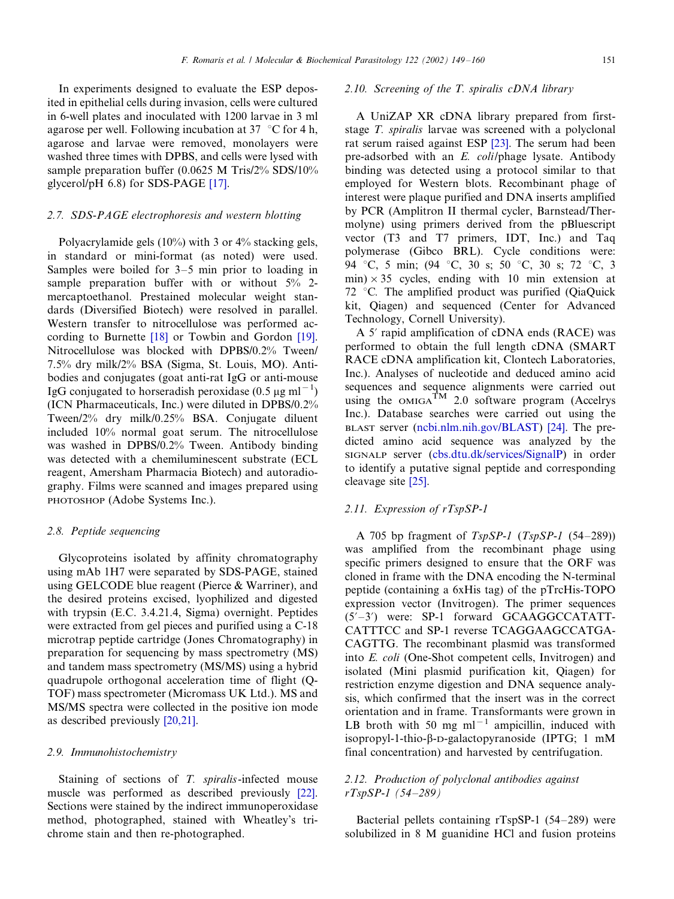In experiments designed to evaluate the ESP deposited in epithelial cells during invasion, cells were cultured in 6-well plates and inoculated with 1200 larvae in 3 ml agarose per well. Following incubation at 37  $\degree$ C for 4 h, agarose and larvae were removed, monolayers were washed three times with DPBS, and cells were lysed with sample preparation buffer (0.0625 M Tris/2% SDS/10% glycerol/pH 6.8) for SDS-PAGE [\[17\]](#page-10-0).

#### 2.7. SDS-PAGE electrophoresis and western blotting

Polyacrylamide gels (10%) with 3 or 4% stacking gels, in standard or mini-format (as noted) were used. Samples were boiled for  $3-5$  min prior to loading in sample preparation buffer with or without  $5\%$  2mercaptoethanol. Prestained molecular weight standards (Diversified Biotech) were resolved in parallel. Western transfer to nitrocellulose was performed according to Burnette [\[18\]](#page-10-0) or Towbin and Gordon [\[19\]](#page-10-0). Nitrocellulose was blocked with DPBS/0.2% Tween/ 7.5% dry milk/2% BSA (Sigma, St. Louis, MO). Antibodies and conjugates (goat anti-rat IgG or anti-mouse IgG conjugated to horseradish peroxidase (0.5  $\mu$ g ml<sup>-1</sup>) (ICN Pharmaceuticals, Inc.) were diluted in DPBS/0.2% Tween/2% dry milk/0.25% BSA. Conjugate diluent included 10% normal goat serum. The nitrocellulose was washed in DPBS/0.2% Tween. Antibody binding was detected with a chemiluminescent substrate (ECL reagent, Amersham Pharmacia Biotech) and autoradiography. Films were scanned and images prepared using PHOTOSHOP (Adobe Systems Inc.).

#### 2.8. Peptide sequencing

Glycoproteins isolated by affinity chromatography using mAb 1H7 were separated by SDS-PAGE, stained using GELCODE blue reagent (Pierce & Warriner), and the desired proteins excised, lyophilized and digested with trypsin (E.C. 3.4.21.4, Sigma) overnight. Peptides were extracted from gel pieces and purified using a C-18 microtrap peptide cartridge (Jones Chromatography) in preparation for sequencing by mass spectrometry (MS) and tandem mass spectrometry (MS/MS) using a hybrid quadrupole orthogonal acceleration time of flight (Q-TOF) mass spectrometer (Micromass UK Ltd.). MS and MS/MS spectra were collected in the positive ion mode as described previously [\[20,21\].](#page-10-0)

#### 2.9. Immunohistochemistry

Staining of sections of T. spiralis-infected mouse muscle was performed as described previously [\[22\]](#page-10-0). Sections were stained by the indirect immunoperoxidase method, photographed, stained with Wheatley's trichrome stain and then re-photographed.

### 2.10. Screening of the T. spiralis cDNA library

A UniZAP XR cDNA library prepared from firststage T. spiralis larvae was screened with a polyclonal rat serum raised against ESP [\[23\]](#page-10-0). The serum had been pre-adsorbed with an E. coli/phage lysate. Antibody binding was detected using a protocol similar to that employed for Western blots. Recombinant phage of interest were plaque purified and DNA inserts amplified by PCR (Amplitron II thermal cycler, Barnstead/Thermolyne) using primers derived from the pBluescript vector (T3 and T7 primers, IDT, Inc.) and Taq polymerase (Gibco BRL). Cycle conditions were: 94 °C, 5 min; (94 °C, 30 s; 50 °C, 30 s; 72 °C, 3 min)  $\times$  35 cycles, ending with 10 min extension at 72 °C. The amplified product was purified (QiaQuick kit, Qiagen) and sequenced (Center for Advanced Technology, Cornell University).

A 5' rapid amplification of cDNA ends (RACE) was performed to obtain the full length cDNA (SMART RACE cDNA amplification kit, Clontech Laboratories, Inc.). Analyses of nucleotide and deduced amino acid sequences and sequence alignments were carried out using the  $OMIGA^{TM}$  2.0 software program (Accelrys Inc.). Database searches were carried out using the BLAST server [\(ncbi.nlm.nih.go](ncbi.nlm.nih.gov/BLAST)v/BLAST) [\[24\]](#page-10-0). The predicted amino acid sequence was analyzed by the SIGNALP server [\(cbs.dtu.dk/ser](cbs.dtu.dk/services/SignalP)vices/SignalP) in order to identify a putative signal peptide and corresponding cleavage site [\[25\].](#page-10-0)

## 2.11. Expression of rTspSP-1

A 705 bp fragment of  $TspSP-1$  ( $TspSP-1$  (54-289)) was amplified from the recombinant phage using specific primers designed to ensure that the ORF was cloned in frame with the DNA encoding the N-terminal peptide (containing a 6xHis tag) of the pTrcHis-TOPO expression vector (Invitrogen). The primer sequences  $(5'-3')$  were: SP-1 forward GCAAGGCCATATT-CATTTCC and SP-1 reverse TCAGGAAGCCATGA-CAGTTG. The recombinant plasmid was transformed into E. coli (One-Shot competent cells, Invitrogen) and isolated (Mini plasmid purification kit, Qiagen) for restriction enzyme digestion and DNA sequence analysis, which confirmed that the insert was in the correct orientation and in frame. Transformants were grown in LB broth with 50 mg  $ml^{-1}$  ampicillin, induced with isopropyl-1-thio- $\beta$ -D-galactopyranoside (IPTG; 1 mM final concentration) and harvested by centrifugation.

## 2.12. Production of polyclonal antibodies against  $rTspSP-1$  (54-289)

Bacterial pellets containing  $rTspSP-1$  (54-289) were solubilized in 8 M guanidine HCl and fusion proteins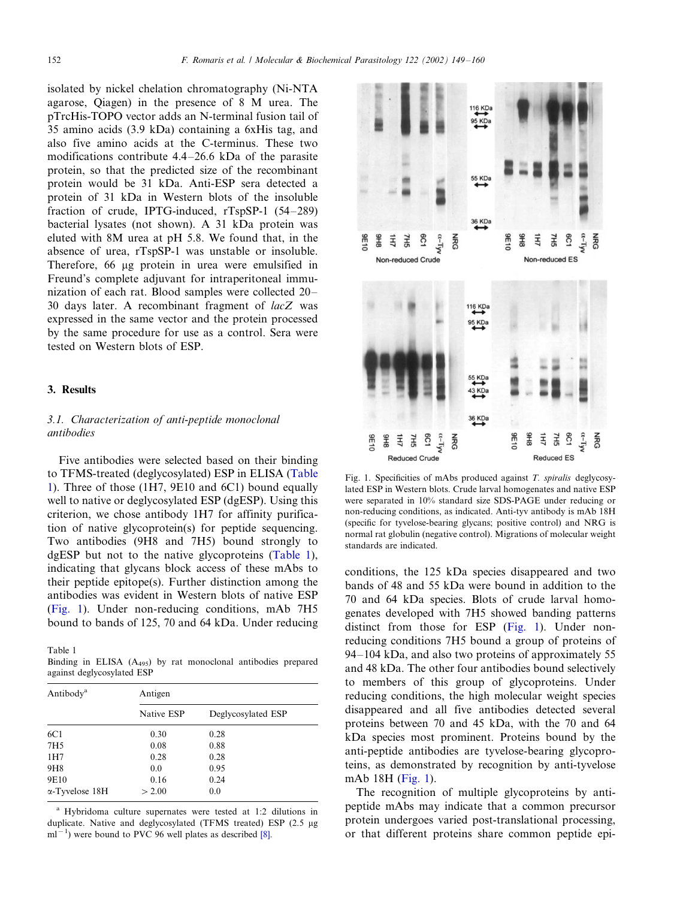<span id="page-3-0"></span>isolated by nickel chelation chromatography (Ni-NTA agarose, Qiagen) in the presence of 8 M urea. The pTrcHis-TOPO vector adds an N-terminal fusion tail of 35 amino acids (3.9 kDa) containing a 6xHis tag, and also five amino acids at the C-terminus. These two modifications contribute  $4.4-26.6$  kDa of the parasite protein, so that the predicted size of the recombinant protein would be 31 kDa. Anti-ESP sera detected a protein of 31 kDa in Western blots of the insoluble fraction of crude, IPTG-induced,  $rTspSP-1$  (54-289) bacterial lysates (not shown). A 31 kDa protein was eluted with 8M urea at pH 5.8. We found that, in the absence of urea, rTspSP-1 was unstable or insoluble. Therefore, 66 µg protein in urea were emulsified in Freund's complete adjuvant for intraperitoneal immunization of each rat. Blood samples were collected 20-30 days later. A recombinant fragment of lacZ was expressed in the same vector and the protein processed by the same procedure for use as a control. Sera were tested on Western blots of ESP.

#### 3. Results

# 3.1. Characterization of anti-peptide monoclonal antibodies

Five antibodies were selected based on their binding to TFMS-treated (deglycosylated) ESP in ELISA (Table 1). Three of those (1H7, 9E10 and 6C1) bound equally well to native or deglycosylated ESP (dgESP). Using this criterion, we chose antibody 1H7 for affinity purification of native glycoprotein(s) for peptide sequencing. Two antibodies (9H8 and 7H5) bound strongly to dgESP but not to the native glycoproteins (Table 1), indicating that glycans block access of these mAbs to their peptide epitope(s). Further distinction among the antibodies was evident in Western blots of native ESP (Fig. 1). Under non-reducing conditions, mAb 7H5 bound to bands of 125, 70 and 64 kDa. Under reducing

Table 1

Binding in ELISA (A495) by rat monoclonal antibodies prepared against deglycosylated ESP

| Antibody <sup>a</sup>  | Antigen    |                    |  |  |
|------------------------|------------|--------------------|--|--|
|                        | Native ESP | Deglycosylated ESP |  |  |
| 6C1                    | 0.30       | 0.28               |  |  |
| 7H <sub>5</sub>        | 0.08       | 0.88               |  |  |
| 1H7                    | 0.28       | 0.28               |  |  |
| 9H <sub>8</sub>        | 0.0        | 0.95               |  |  |
| 9E10                   | 0.16       | 0.24               |  |  |
| $\alpha$ -Tyvelose 18H | > 2.00     | 0.0                |  |  |

<sup>a</sup> Hybridoma culture supernates were tested at 1:2 dilutions in duplicate. Native and deglycosylated (TFMS treated) ESP (2.5 µg  $\text{m1}^{-1}$ ) were bound to PVC 96 well plates as described [\[8\].](#page-10-0)



Fig. 1. Specificities of mAbs produced against T. spiralis deglycosylated ESP in Western blots. Crude larval homogenates and native ESP were separated in 10% standard size SDS-PAGE under reducing or non-reducing conditions, as indicated. Anti-tyv antibody is mAb 18H (specific for tyvelose-bearing glycans; positive control) and NRG is normal rat globulin (negative control). Migrations of molecular weight standards are indicated.

conditions, the 125 kDa species disappeared and two bands of 48 and 55 kDa were bound in addition to the 70 and 64 kDa species. Blots of crude larval homogenates developed with 7H5 showed banding patterns distinct from those for ESP (Fig. 1). Under nonreducing conditions 7H5 bound a group of proteins of  $94-104$  kDa, and also two proteins of approximately 55 and 48 kDa. The other four antibodies bound selectively to members of this group of glycoproteins. Under reducing conditions, the high molecular weight species disappeared and all five antibodies detected several proteins between 70 and 45 kDa, with the 70 and 64 kDa species most prominent. Proteins bound by the anti-peptide antibodies are tyvelose-bearing glycoproteins, as demonstrated by recognition by anti-tyvelose mAb 18H (Fig. 1).

The recognition of multiple glycoproteins by antipeptide mAbs may indicate that a common precursor protein undergoes varied post-translational processing, or that different proteins share common peptide epi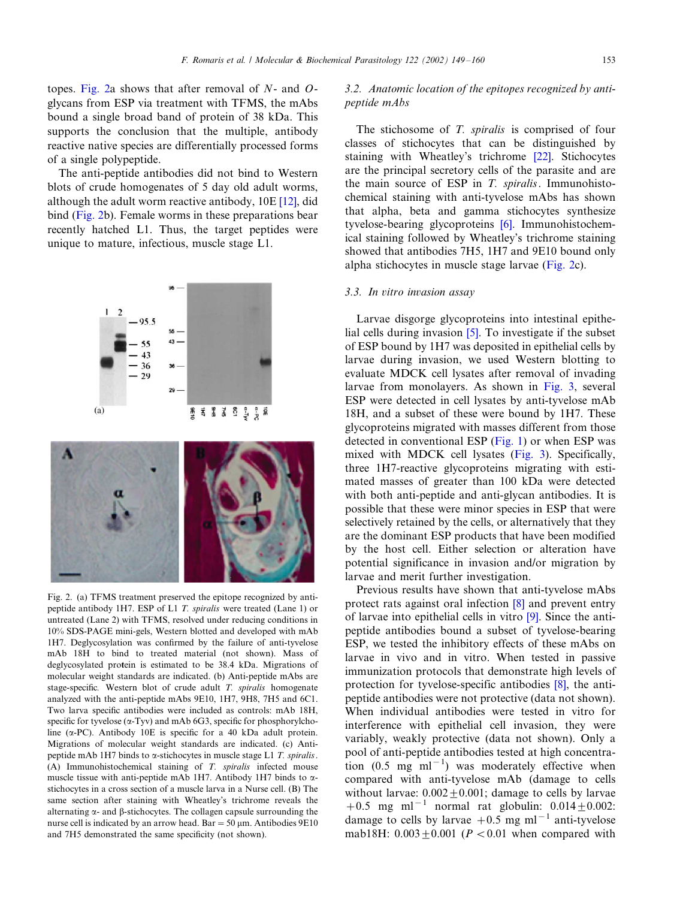<span id="page-4-0"></span>topes. Fig. 2a shows that after removal of  $N$ - and  $O$ glycans from ESP via treatment with TFMS, the mAbs bound a single broad band of protein of 38 kDa. This supports the conclusion that the multiple, antibody reactive native species are differentially processed forms of a single polypeptide.

The anti-peptide antibodies did not bind to Western blots of crude homogenates of 5 day old adult worms, although the adult worm reactive antibody, 10E [\[12\]](#page-10-0), did bind (Fig. 2b). Female worms in these preparations bear recently hatched L1. Thus, the target peptides were unique to mature, infectious, muscle stage L1.



Fig. 2. (a) TFMS treatment preserved the epitope recognized by antipeptide antibody 1H7. ESP of L1 T. spiralis were treated (Lane 1) or untreated (Lane 2) with TFMS, resolved under reducing conditions in 10% SDS-PAGE mini-gels, Western blotted and developed with mAb 1H7. Deglycosylation was confirmed by the failure of anti-tyvelose mAb 18H to bind to treated material (not shown). Mass of deglycosylated protein is estimated to be 38.4 kDa. Migrations of molecular weight standards are indicated. (b) Anti-peptide mAbs are stage-specific. Western blot of crude adult T. spiralis homogenate analyzed with the anti-peptide mAbs 9E10, 1H7, 9H8, 7H5 and 6C1. Two larva specific antibodies were included as controls: mAb 18H, specific for tyvelose  $(\alpha$ -Tyv) and mAb 6G3, specific for phosphorylcholine ( $\alpha$ -PC). Antibody 10E is specific for a 40 kDa adult protein. Migrations of molecular weight standards are indicated. (c) Antipeptide mAb 1H7 binds to  $\alpha$ -stichocytes in muscle stage L1 T, spiralis. (A) Immunohistochemical staining of T. spiralis infected mouse muscle tissue with anti-peptide mAb 1H7. Antibody 1H7 binds to astichocytes in a cross section of a muscle larva in a Nurse cell. (B) The same section after staining with Wheatley's trichrome reveals the alternating  $\alpha$ - and  $\beta$ -stichocytes. The collagen capsule surrounding the nurse cell is indicated by an arrow head. Bar = 50  $\mu$ m. Antibodies 9E10 and 7H5 demonstrated the same specificity (not shown).

# 3.2. Anatomic location of the epitopes recognized by antipeptide mAbs

The stichosome of T. spiralis is comprised of four classes of stichocytes that can be distinguished by staining with Wheatley's trichrome [\[22\].](#page-10-0) Stichocytes are the principal secretory cells of the parasite and are the main source of ESP in  $T$ . spiralis. Immunohistochemical staining with anti-tyvelose mAbs has shown that alpha, beta and gamma stichocytes synthesize tyvelose-bearing glycoproteins [\[6\]](#page-9-0). Immunohistochemical staining followed by Wheatley's trichrome staining showed that antibodies 7H5, 1H7 and 9E10 bound only alpha stichocytes in muscle stage larvae (Fig. 2c).

#### 3.3. In vitro invasion assay

Larvae disgorge glycoproteins into intestinal epithelial cells during invasion [\[5\].](#page-9-0) To investigate if the subset of ESP bound by 1H7 was deposited in epithelial cells by larvae during invasion, we used Western blotting to evaluate MDCK cell lysates after removal of invading larvae from monolayers. As shown in [Fig. 3](#page-5-0), several ESP were detected in cell lysates by anti-tyvelose mAb 18H, and a subset of these were bound by 1H7. These glycoproteins migrated with masses different from those detected in conventional ESP [\(Fig. 1](#page-3-0)) or when ESP was mixed with MDCK cell lysates ([Fig. 3\)](#page-5-0). Specifically, three 1H7-reactive glycoproteins migrating with estimated masses of greater than 100 kDa were detected with both anti-peptide and anti-glycan antibodies. It is possible that these were minor species in ESP that were selectively retained by the cells, or alternatively that they are the dominant ESP products that have been modified by the host cell. Either selection or alteration have potential significance in invasion and/or migration by larvae and merit further investigation.

Previous results have shown that anti-tyvelose mAbs protect rats against oral infection [\[8\]](#page-10-0) and prevent entry of larvae into epithelial cells in vitro [\[9\].](#page-10-0) Since the antipeptide antibodies bound a subset of tyvelose-bearing ESP, we tested the inhibitory effects of these mAbs on larvae in vivo and in vitro. When tested in passive immunization protocols that demonstrate high levels of protection for tyvelose-specific antibodies [\[8\]](#page-10-0), the antipeptide antibodies were not protective (data not shown). When individual antibodies were tested in vitro for interference with epithelial cell invasion, they were variably, weakly protective (data not shown). Only a pool of anti-peptide antibodies tested at high concentration  $(0.5 \text{ mg} \text{ ml}^{-1})$  was moderately effective when compared with anti-tyvelose mAb (damage to cells without larvae:  $0.002 + 0.001$ ; damage to cells by larvae  $+0.5$  mg ml<sup>-1</sup> normal rat globulin:  $0.014 \pm 0.002$ : damage to cells by larvae  $+0.5$  mg ml<sup>-1</sup> anti-tyvelose mab18H:  $0.003 + 0.001$  ( $P < 0.01$  when compared with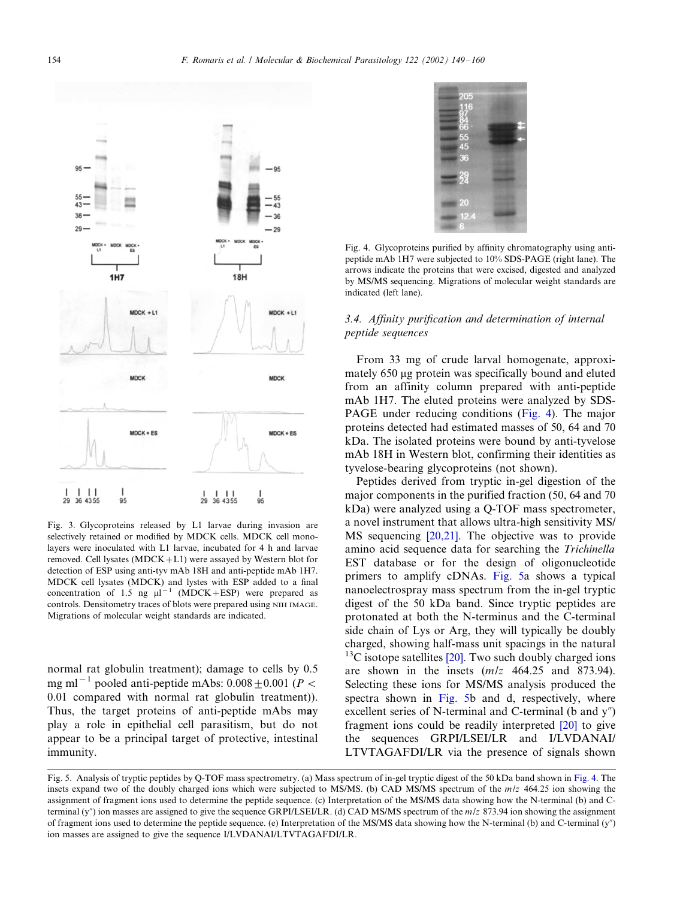<span id="page-5-0"></span>

Fig. 3. Glycoproteins released by L1 larvae during invasion are selectively retained or modified by MDCK cells. MDCK cell monolayers were inoculated with L1 larvae, incubated for 4 h and larvae removed. Cell lysates (MDCK+L1) were assayed by Western blot for detection of ESP using anti-tyv mAb 18H and anti-peptide mAb 1H7. MDCK cell lysates (MDCK) and lystes with ESP added to a final concentration of 1.5 ng  $\mu l^{-1}$  (MDCK+ESP) were prepared as controls. Densitometry traces of blots were prepared using NIH IMAGE. Migrations of molecular weight standards are indicated.

normal rat globulin treatment); damage to cells by 0.5 mg ml<sup>-1</sup> pooled anti-peptide mAbs: 0.008  $\pm$  0.001 (P < 0.01 compared with normal rat globulin treatment)). Thus, the target proteins of anti-peptide mAbs may play a role in epithelial cell parasitism, but do not appear to be a principal target of protective, intestinal immunity.



Fig. 4. Glycoproteins purified by affinity chromatography using antipeptide mAb 1H7 were subjected to 10% SDS-PAGE (right lane). The arrows indicate the proteins that were excised, digested and analyzed by MS/MS sequencing. Migrations of molecular weight standards are indicated (left lane).

# 3.4. Affinity purification and determination of internal peptide sequences

From 33 mg of crude larval homogenate, approximately 650 µg protein was specifically bound and eluted from an affinity column prepared with anti-peptide mAb 1H7. The eluted proteins were analyzed by SDS-PAGE under reducing conditions (Fig. 4). The major proteins detected had estimated masses of 50, 64 and 70 kDa. The isolated proteins were bound by anti-tyvelose mAb 18H in Western blot, confirming their identities as tyvelose-bearing glycoproteins (not shown).

Peptides derived from tryptic in-gel digestion of the major components in the purified fraction (50, 64 and 70 kDa) were analyzed using a Q-TOF mass spectrometer, a novel instrument that allows ultra-high sensitivity MS/ MS sequencing [\[20,21\].](#page-10-0) The objective was to provide amino acid sequence data for searching the Trichinella EST database or for the design of oligonucleotide primers to amplify cDNAs. [Fig. 5](#page-6-0)a shows a typical nanoelectrospray mass spectrum from the in-gel tryptic digest of the 50 kDa band. Since tryptic peptides are protonated at both the N-terminus and the C-terminal side chain of Lys or Arg, they will typically be doubly charged, showing half-mass unit spacings in the natural  $13C$  isotope satellites [\[20\]](#page-10-0). Two such doubly charged ions are shown in the insets (m/z 464.25 and 873.94). Selecting these ions for MS/MS analysis produced the spectra shown in [Fig. 5b](#page-6-0) and d, respectively, where excellent series of N-terminal and C-terminal (b and  $y''$ ) fragment ions could be readily interpreted [\[20\]](#page-10-0) to give the sequences GRPI/LSEI/LR and I/LVDANAI/ LTVTAGAFDI/LR via the presence of signals shown

Fig. 5. Analysis of tryptic peptides by Q-TOF mass spectrometry. (a) Mass spectrum of in-gel tryptic digest of the 50 kDa band shown in Fig. 4. The insets expand two of the doubly charged ions which were subjected to MS/MS. (b) CAD MS/MS spectrum of the m/z 464.25 ion showing the assignment of fragment ions used to determine the peptide sequence. (c) Interpretation of the MS/MS data showing how the N-terminal (b) and Cterminal (y") ion masses are assigned to give the sequence GRPI/LSEI/LR. (d) CAD MS/MS spectrum of the  $m/z$  873.94 ion showing the assignment of fragment ions used to determine the peptide sequence. (e) Interpretation of the MS/MS data showing how the N-terminal (b) and C-terminal (y") ion masses are assigned to give the sequence I/LVDANAI/LTVTAGAFDI/LR.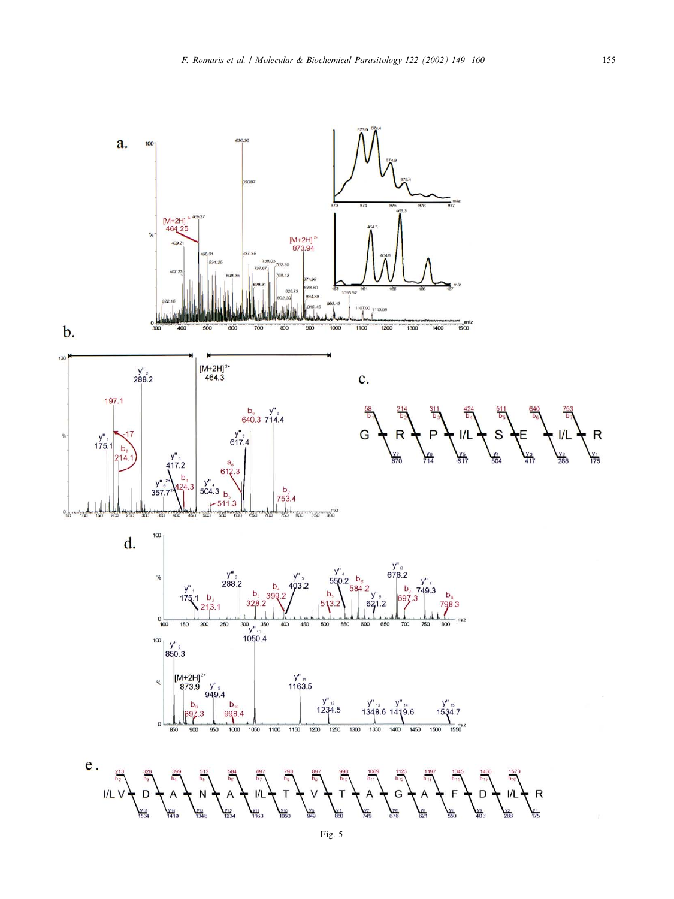<span id="page-6-0"></span>

 $100$ 

 $\%$ 

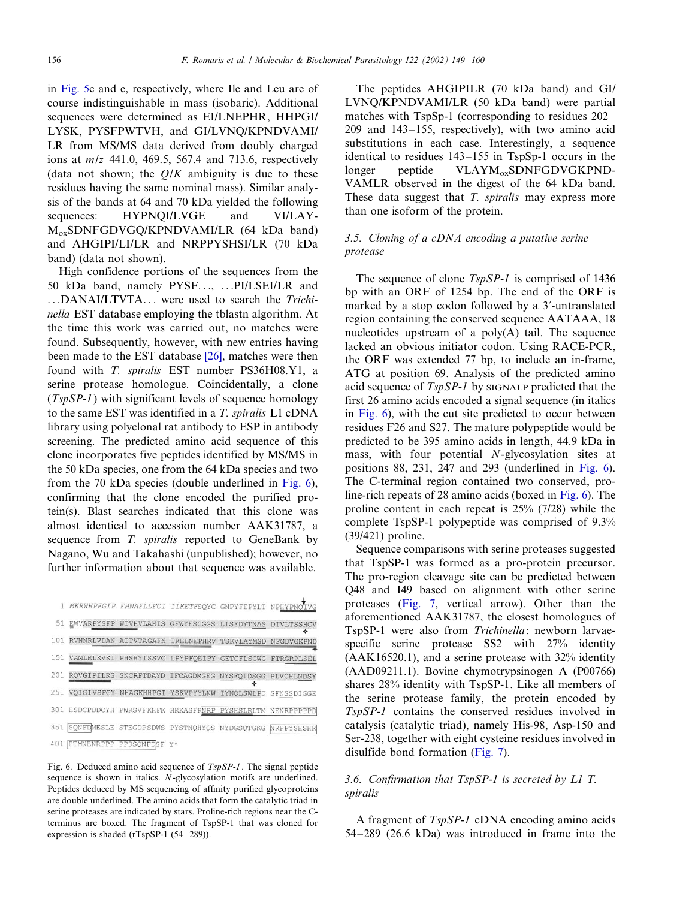in [Fig. 5](#page-6-0)c and e, respectively, where Ile and Leu are of course indistinguishable in mass (isobaric). Additional sequences were determined as EI/LNEPHR, HHPGI/ LYSK, PYSFPWTVH, and GI/LVNQ/KPNDVAMI/ LR from MS/MS data derived from doubly charged ions at m/z 441.0, 469.5, 567.4 and 713.6, respectively (data not shown; the  $O/K$  ambiguity is due to these residues having the same nominal mass). Similar analysis of the bands at 64 and 70 kDa yielded the following sequences: HYPNOI/LVGE and VI/LAY-MoxSDNFGDVGQ/KPNDVAMI/LR (64 kDa band) and AHGIPI/LI/LR and NRPPYSHSI/LR (70 kDa band) (data not shown).

High confidence portions of the sequences from the 50 kDa band, namely PYSF..., ...PI/LSEI/LR and ...DANAI/LTVTA... were used to search the Trichinella EST database employing the tblastn algorithm. At the time this work was carried out, no matches were found. Subsequently, however, with new entries having been made to the EST database [\[26\]](#page-10-0), matches were then found with T. spiralis EST number PS36H08.Y1, a serine protease homologue. Coincidentally, a clone  $(TspSP-1)$  with significant levels of sequence homology to the same EST was identified in a T. spiralis L1 cDNA library using polyclonal rat antibody to ESP in antibody screening. The predicted amino acid sequence of this clone incorporates five peptides identified by MS/MS in the 50 kDa species, one from the 64 kDa species and two from the 70 kDa species (double underlined in Fig. 6), confirming that the clone encoded the purified protein(s). Blast searches indicated that this clone was almost identical to accession number AAK31787, a sequence from T. spiralis reported to GeneBank by Nagano, Wu and Takahashi (unpublished); however, no further information about that sequence was available.

| 1 MKRWHPFGIP FHNAFLLFCI IIKETFSQYC GNPYFEPYLT NPHYPNOIVG   |  |   |  |
|------------------------------------------------------------|--|---|--|
| 51 EWVARPYSFP WTVHVLAHIS GFWYESCGGS LISFDYTNAS DTVLTSSHCV  |  |   |  |
| 101 RVNNRLVDAN AITVTAGAFN IRELNEPHRV TSKVLAYMSD NFGDVGKPND |  |   |  |
| 151 VAMLRLKVKI PHSHYISSVC LPYPFQEIPY GETCFLSGWG FTRGRPLSEL |  |   |  |
| 201 ROVGIPILRS SNCRFTDAYD IFCAGDMGEG NYSFQIDSGG PLVCKLNDSY |  | ÷ |  |
| 251 VQIGIVSFGY NHAGKHHPGI YSKVPYYLNW IYNQLSWLPD SFNSSDIGGE |  |   |  |
| 301 ESDCPDDCYH PWRSVFKHFK HRKASFRNRP PYSHSLRLTM NENRPPPPPD |  |   |  |
| 351 SONFOMESLE STEGDPSDWS PYSTNOHYOS NYDGSOTGKG NRPPYSHSHR |  |   |  |
| 401 PTMNENRPPP PPDSQNFDSF Y*                               |  |   |  |

 $\overline{\perp}$ 

Fig. 6. Deduced amino acid sequence of TspSP-1. The signal peptide sequence is shown in italics. N-glycosylation motifs are underlined. Peptides deduced by MS sequencing of affinity purified glycoproteins are double underlined. The amino acids that form the catalytic triad in serine proteases are indicated by stars. Proline-rich regions near the Cterminus are boxed. The fragment of TspSP-1 that was cloned for expression is shaded ( $rTspSP-1$  (54-289)).

The peptides AHGIPILR (70 kDa band) and GI/ LVNQ/KPNDVAMI/LR (50 kDa band) were partial matches with  $TspSn-1$  (corresponding to residues  $202 209$  and  $143-155$ , respectively), with two amino acid substitutions in each case. Interestingly, a sequence identical to residues  $143-155$  in TspSp-1 occurs in the longer peptide VLAYM<sub>ox</sub>SDNFGDVGKPND-VAMLR observed in the digest of the 64 kDa band. These data suggest that T. spiralis may express more than one isoform of the protein.

## 3.5. Cloning of a cDNA encoding a putative serine protease

The sequence of clone TspSP-1 is comprised of 1436 bp with an ORF of 1254 bp. The end of the ORF is marked by a stop codon followed by a 3?-untranslated region containing the conserved sequence AATAAA, 18 nucleotides upstream of a poly(A) tail. The sequence lacked an obvious initiator codon. Using RACE-PCR, the ORF was extended 77 bp, to include an in-frame, ATG at position 69. Analysis of the predicted amino acid sequence of TspSP-1 by SIGNALP predicted that the first 26 amino acids encoded a signal sequence (in italics in Fig. 6), with the cut site predicted to occur between residues F26 and S27. The mature polypeptide would be predicted to be 395 amino acids in length, 44.9 kDa in mass, with four potential N-glycosylation sites at positions 88, 231, 247 and 293 (underlined in Fig. 6). The C-terminal region contained two conserved, proline-rich repeats of 28 amino acids (boxed in Fig. 6). The proline content in each repeat is 25% (7/28) while the complete TspSP-1 polypeptide was comprised of 9.3% (39/421) proline.

Sequence comparisons with serine proteases suggested that TspSP-1 was formed as a pro-protein precursor. The pro-region cleavage site can be predicted between Q48 and I49 based on alignment with other serine proteases [\(Fig. 7,](#page-8-0) vertical arrow). Other than the aforementioned AAK31787, the closest homologues of TspSP-1 were also from Trichinella: newborn larvaespecific serine protease SS2 with 27% identity (AAK16520.1), and a serine protease with 32% identity (AAD09211.1). Bovine chymotrypsinogen A (P00766) shares 28% identity with TspSP-1. Like all members of the serine protease family, the protein encoded by TspSP-1 contains the conserved residues involved in catalysis (catalytic triad), namely His-98, Asp-150 and Ser-238, together with eight cysteine residues involved in disulfide bond formation [\(Fig. 7\)](#page-8-0).

# 3.6. Confirmation that TspSP-1 is secreted by L1 T. spiralis

A fragment of TspSP-1 cDNA encoding amino acids  $54-289$  (26.6 kDa) was introduced in frame into the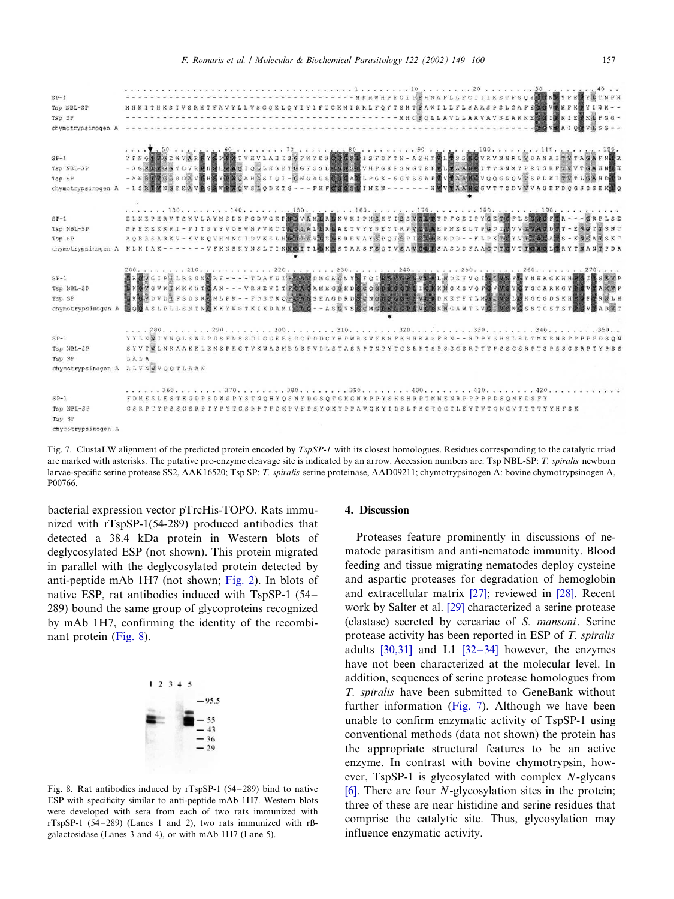<span id="page-8-0"></span>

|                    | лежать в в технологии в хологии в селото 1 в хологии (10).<br>. 20 30 .<br>. 40 <b>.</b> .                                                                  |
|--------------------|-------------------------------------------------------------------------------------------------------------------------------------------------------------|
| $SP-1$             | - MKRWHPFGIPEHNAFLLFCIIIKETFSOYDGNEYFE FYDTNPH                                                                                                              |
| Tsp NBL-SP         | MHKITHKSIVSRHTFAVYLLVSGOKLOYIYIFICKMIRRLFOYTSMTEAWILLFLSAASPSLGAFECGVERFKWYIWK--                                                                            |
| TSD SF             |                                                                                                                                                             |
| chymotrypsinogen A | ras de 2 de decembro de la componición de la componició<br>$A I O$ $\overline{B}$ $V I$ , $S G - -$                                                         |
|                    |                                                                                                                                                             |
|                    |                                                                                                                                                             |
| $SP-1$             | \,50<br>YPNOTVGENVARPYSFENTVHVLAHISGFNYESOGGSLISFDYTN-ASHINLTSSHOVRVNNRLVDANAITVTAGAFNIR                                                                    |
| Tsp NBL-SP         | - S G R IV G G T D V R F H S H F W Q I C L L K S E T G G V S L C G G S L V H F G K P S N G T R F V L TA A H C I T T S N M Y P R T S R F T V V T G A H N T F |
| Tsp SP             | - ANRIVGGSDAVPHSYPMOAHLSIOI - GNGAGSCGGALLPGK - SGTSSAFWVTAAHCVQQGSQVVSPDKITVTLGAHDII                                                                       |
| chymotrypsinogen A | -LERIVNGEEAVEGSWEWOVSLODKTG - - - FEFCGGSLINEN - - - - - - - WAVEAAHGGVTTSDVWVAGEFDOGSSSEKLO                                                                |
|                    |                                                                                                                                                             |
|                    | . 130. 140. 150. 160. 170. 180. 190.                                                                                                                        |
| $SP-1$             | ELNEPHRVTSKVLAYMSDNFGDVGKFMDVAMDREXVKIPHSKYISSVCLPYPFCEIPYGETCFLSGNGFTR - - - GRPLSE                                                                        |
| Tsp NBL-5P         | MHEKEKKRI-PITSYYVOHNNPVMTTMDIALMARTVYYNEYTRPVCLAEFNEELTPGDTCVVTGWGDFT-ENGTTSNT                                                                              |
| Tsp SP             | AOEASARKV - KVKOVHMNGI DVKSLHNDI AVLELEREVAYSPOISPICLPKKDD - - KLPKTCYVIGNGATS - KNGATSKI                                                                   |
|                    | chymotrypsinoqun A KLKIAK------- VFKNSKYNSLTINNDITLEKESTAASFSQTVSAVCDESASDDFAAGTTCVTTGWGLTRYTNANTPDF                                                        |
|                    |                                                                                                                                                             |
|                    |                                                                                                                                                             |
| $SP-1$             | IROVGIPILRSSNORF - - - - TDAYDIFCA GDMGE GNYSFOIDSGGFIVERLNDSYVOIGIVSFGYNHA GKHHPGIMSKVF                                                                    |
| Tsp NBL-SP         | I KOVGVKI MKKG TOAN - - - VRSEVI T FOAGAME GGKDS COGDS GGP LIC KKMGK S VOFG VV SYGT GCARKGY POVYAKVI                                                        |
| TSD SP             | L KOVDVDI FSDSKONLPK - - FDSTKOFCA GSEAGDRDSCNGDSGGP LVCKDKKTFTLMGIVSLGKGCGDSKHPGFMRKLP                                                                     |
|                    | chymotrypsinoqen A BOOASLPLLSNTNOKKYWGTKIKDAMICAC - - ASGVSSCMGDSGGPSVCXKWGAWTLVGIVSWGSSTCSTSTDGVYARVI                                                      |
|                    |                                                                                                                                                             |
|                    | . 280. 290. 300. 310. 320. 330. 340. 350. .                                                                                                                 |
| $SP-1$             | YYLNWIYNOLSWLPDSFNSSDIGGEESDCPDDCYHPWRSVFKHFKHRKASFRN -- RPPYSHSLRLTMNENRPPPPPDSOP                                                                          |
| Tsc NBL-SP         | SYVTWLNKAAKELENSPEGTVKWASKEDSPVDLSTASRPTNPYTGSRPTSPSSGSRPTYPSSGSRPTSPSSGSRPTYPSS                                                                            |
| Tsp SP             | LALA                                                                                                                                                        |
|                    | chymotrypsinogen A ALVNWVQOTLAAN                                                                                                                            |
|                    |                                                                                                                                                             |
|                    |                                                                                                                                                             |
|                    | . 360. 370. 380. 390. 400. 410. 420.<br>FDMESLESTEGDPSDWSPYSTNOHYOSNYDGSOTGKGNRPPYSHSHRPTMNENRPPPPPDSONFDSFY                                                |
| $SP-1$             |                                                                                                                                                             |
| Tsp NBL-SP         | GSRPTYPSSGSRPTYPYTGSPPTPOKPVFPSYOKYPPAVOKYIDSLPSGTOGTLEYTVTQNGVTTTTYYHFSK                                                                                   |
| Tsp SP             |                                                                                                                                                             |
| chymotrypsinogen A |                                                                                                                                                             |

Fig. 7. ClustaLW alignment of the predicted protein encoded by  $TspSP-1$  with its closest homologues. Residues corresponding to the catalytic triad are marked with asterisks. The putative pro-enzyme cleavage site is indicated by an arrow. Accession numbers are: Tsp NBL-SP: T. spiralis newborn larvae-specific serine protease SS2, AAK16520; Tsp SP: T. spiralis serine proteinase, AAD09211; chymotrypsinogen A: bovine chymotrypsinogen A, P00766.

bacterial expression vector pTrcHis-TOPO. Rats immunized with rTspSP-1(54-289) produced antibodies that detected a 38.4 kDa protein in Western blots of deglycosylated ESP (not shown). This protein migrated in parallel with the deglycosylated protein detected by anti-peptide mAb 1H7 (not shown; [Fig. 2\)](#page-4-0). In blots of native ESP, rat antibodies induced with  $TspSP-1$  (54– 289) bound the same group of glycoproteins recognized by mAb 1H7, confirming the identity of the recombinant protein (Fig. 8).



Fig. 8. Rat antibodies induced by  $rTspSP-1$  (54–289) bind to native ESP with specificity similar to anti-peptide mAb 1H7. Western blots were developed with sera from each of two rats immunized with rTspSP-1 (54-289) (Lanes 1 and 2), two rats immunized with rßgalactosidase (Lanes 3 and 4), or with mAb 1H7 (Lane 5).

## 4. Discussion

Proteases feature prominently in discussions of nematode parasitism and anti-nematode immunity. Blood feeding and tissue migrating nematodes deploy cysteine and aspartic proteases for degradation of hemoglobin and extracellular matrix [\[27\]](#page-10-0); reviewed in [\[28\]](#page-10-0). Recent work by Salter et al. [\[29\]](#page-10-0) characterized a serine protease (elastase) secreted by cercariae of S. mansoni. Serine protease activity has been reported in ESP of T. spiralis adults  $[30,31]$  and L1  $[32-34]$  $[32-34]$  however, the enzymes have not been characterized at the molecular level. In addition, sequences of serine protease homologues from T. spiralis have been submitted to GeneBank without further information (Fig. 7). Although we have been unable to confirm enzymatic activity of TspSP-1 using conventional methods (data not shown) the protein has the appropriate structural features to be an active enzyme. In contrast with bovine chymotrypsin, however, TspSP-1 is glycosylated with complex N-glycans [\[6\]](#page-9-0). There are four  $N$ -glycosylation sites in the protein; three of these are near histidine and serine residues that comprise the catalytic site. Thus, glycosylation may influence enzymatic activity.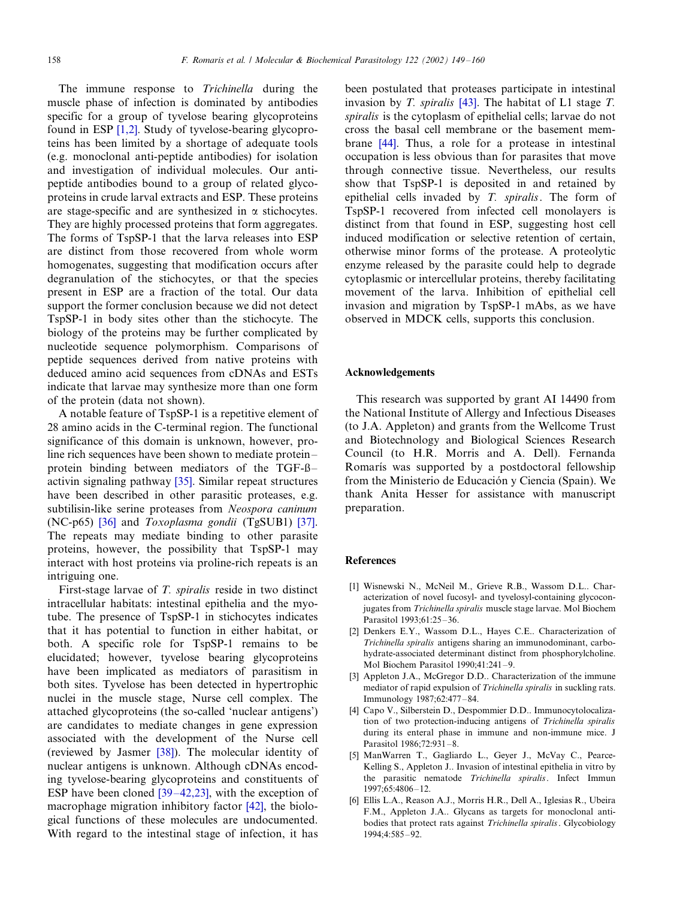<span id="page-9-0"></span>The immune response to Trichinella during the muscle phase of infection is dominated by antibodies specific for a group of tyvelose bearing glycoproteins found in ESP [1,2]. Study of tyvelose-bearing glycoproteins has been limited by a shortage of adequate tools (e.g. monoclonal anti-peptide antibodies) for isolation and investigation of individual molecules. Our antipeptide antibodies bound to a group of related glycoproteins in crude larval extracts and ESP. These proteins are stage-specific and are synthesized in  $\alpha$  stichocytes. They are highly processed proteins that form aggregates. The forms of TspSP-1 that the larva releases into ESP are distinct from those recovered from whole worm homogenates, suggesting that modification occurs after degranulation of the stichocytes, or that the species present in ESP are a fraction of the total. Our data support the former conclusion because we did not detect TspSP-1 in body sites other than the stichocyte. The biology of the proteins may be further complicated by nucleotide sequence polymorphism. Comparisons of peptide sequences derived from native proteins with deduced amino acid sequences from cDNAs and ESTs indicate that larvae may synthesize more than one form of the protein (data not shown).

A notable feature of TspSP-1 is a repetitive element of 28 amino acids in the C-terminal region. The functional significance of this domain is unknown, however, proline rich sequences have been shown to mediate proteinprotein binding between mediators of the  $TGF-B$ activin signaling pathway [\[35\].](#page-10-0) Similar repeat structures have been described in other parasitic proteases, e.g. subtilisin-like serine proteases from Neospora caninum (NC-p65) [\[36\]](#page-10-0) and Toxoplasma gondii (TgSUB1) [\[37\]](#page-10-0). The repeats may mediate binding to other parasite proteins, however, the possibility that TspSP-1 may interact with host proteins via proline-rich repeats is an intriguing one.

First-stage larvae of T. spiralis reside in two distinct intracellular habitats: intestinal epithelia and the myotube. The presence of TspSP-1 in stichocytes indicates that it has potential to function in either habitat, or both. A specific role for TspSP-1 remains to be elucidated; however, tyvelose bearing glycoproteins have been implicated as mediators of parasitism in both sites. Tyvelose has been detected in hypertrophic nuclei in the muscle stage, Nurse cell complex. The attached glycoproteins (the so-called 'nuclear antigens') are candidates to mediate changes in gene expression associated with the development of the Nurse cell (reviewed by Jasmer [\[38\]\)](#page-10-0). The molecular identity of nuclear antigens is unknown. Although cDNAs encoding tyvelose-bearing glycoproteins and constituents of ESP have been cloned  $[39-42,23]$  $[39-42,23]$ , with the exception of macrophage migration inhibitory factor [\[42\],](#page-11-0) the biological functions of these molecules are undocumented. With regard to the intestinal stage of infection, it has

been postulated that proteases participate in intestinal invasion by T. spiralis  $[43]$ . The habitat of L1 stage T. spiralis is the cytoplasm of epithelial cells; larvae do not cross the basal cell membrane or the basement membrane [\[44\]](#page-11-0). Thus, a role for a protease in intestinal occupation is less obvious than for parasites that move through connective tissue. Nevertheless, our results show that TspSP-1 is deposited in and retained by epithelial cells invaded by  $T$ . spiralis. The form of TspSP-1 recovered from infected cell monolayers is distinct from that found in ESP, suggesting host cell induced modification or selective retention of certain, otherwise minor forms of the protease. A proteolytic enzyme released by the parasite could help to degrade cytoplasmic or intercellular proteins, thereby facilitating movement of the larva. Inhibition of epithelial cell invasion and migration by TspSP-1 mAbs, as we have observed in MDCK cells, supports this conclusion.

### Acknowledgements

This research was supported by grant AI 14490 from the National Institute of Allergy and Infectious Diseases (to J.A. Appleton) and grants from the Wellcome Trust and Biotechnology and Biological Sciences Research Council (to H.R. Morris and A. Dell). Fernanda Romarís was supported by a postdoctoral fellowship from the Ministerio de Educación y Ciencia (Spain). We thank Anita Hesser for assistance with manuscript preparation.

#### References

- [1] Wisnewski N., McNeil M., Grieve R.B., Wassom D.L.. Characterization of novel fucosyl- and tyvelosyl-containing glycoconjugates from Trichinella spiralis muscle stage larvae. Mol Biochem Parasitol 1993;61:25-36.
- [2] Denkers E.Y., Wassom D.L., Hayes C.E.. Characterization of Trichinella spiralis antigens sharing an immunodominant, carbohydrate-associated determinant distinct from phosphorylcholine. Mol Biochem Parasitol 1990;41:241-9.
- [3] Appleton J.A., McGregor D.D.. Characterization of the immune mediator of rapid expulsion of Trichinella spiralis in suckling rats. Immunology 1987;62:477-84.
- [4] Capo V., Silberstein D., Despommier D.D.. Immunocytolocalization of two protection-inducing antigens of Trichinella spiralis during its enteral phase in immune and non-immune mice. J Parasitol 1986:72:931-8.
- [5] ManWarren T., Gagliardo L., Geyer J., McVay C., Pearce-Kelling S., Appleton J.. Invasion of intestinal epithelia in vitro by the parasitic nematode Trichinella spiralis. Infect Immun  $1997:65:4806-12.$
- [6] Ellis L.A., Reason A.J., Morris H.R., Dell A., Iglesias R., Ubeira F.M., Appleton J.A.. Glycans as targets for monoclonal antibodies that protect rats against Trichinella spiralis. Glycobiology 1994:4:585-92.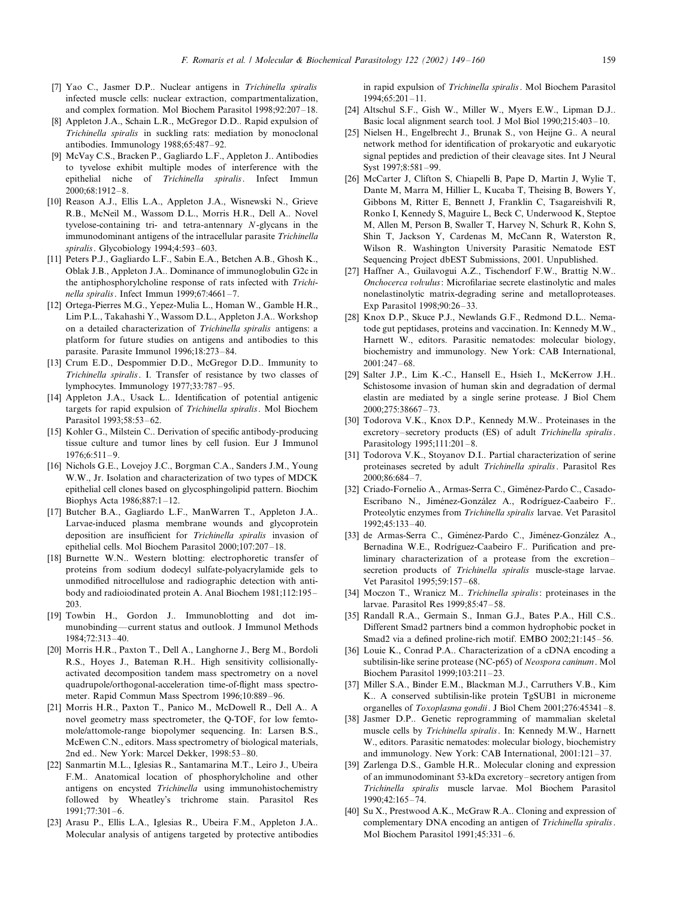- <span id="page-10-0"></span>[7] Yao C., Jasmer D.P.. Nuclear antigens in Trichinella spiralis infected muscle cells: nuclear extraction, compartmentalization, and complex formation. Mol Biochem Parasitol 1998;92:207-18.
- [8] Appleton J.A., Schain L.R., McGregor D.D.. Rapid expulsion of Trichinella spiralis in suckling rats: mediation by monoclonal antibodies. Immunology  $1988:65:487-92$ .
- [9] McVay C.S., Bracken P., Gagliardo L.F., Appleton J.. Antibodies to tyvelose exhibit multiple modes of interference with the epithelial niche of Trichinella spiralis. Infect Immun 2000;68:1912-8.
- [10] Reason A.J., Ellis L.A., Appleton J.A., Wisnewski N., Grieve R.B., McNeil M., Wassom D.L., Morris H.R., Dell A.. Novel tyvelose-containing tri- and tetra-antennary N-glycans in the immunodominant antigens of the intracellular parasite Trichinella spiralis. Glycobiology 1994;4:593-603.
- [11] Peters P.J., Gagliardo L.F., Sabin E.A., Betchen A.B., Ghosh K., Oblak J.B., Appleton J.A.. Dominance of immunoglobulin G2c in the antiphosphorylcholine response of rats infected with Trichinella spiralis. Infect Immun 1999;67:4661-7.
- [12] Ortega-Pierres M.G., Yepez-Mulia L., Homan W., Gamble H.R., Lim P.L., Takahashi Y., Wassom D.L., Appleton J.A.. Workshop on a detailed characterization of Trichinella spiralis antigens: a platform for future studies on antigens and antibodies to this parasite. Parasite Immunol 1996;18:273-84.
- [13] Crum E.D., Despommier D.D., McGregor D.D., Immunity to Trichinella spiralis. I. Transfer of resistance by two classes of lymphocytes. Immunology 1977:33:787-95.
- [14] Appleton J.A., Usack L.. Identification of potential antigenic targets for rapid expulsion of Trichinella spiralis. Mol Biochem Parasitol 1993;58:53-62.
- [15] Kohler G., Milstein C., Derivation of specific antibody-producing tissue culture and tumor lines by cell fusion. Eur J Immunol  $1976:6:511-9.$
- [16] Nichols G.E., Lovejoy J.C., Borgman C.A., Sanders J.M., Young W.W., Jr. Isolation and characterization of two types of MDCK epithelial cell clones based on glycosphingolipid pattern. Biochim Biophys Acta 1986;887:1-12.
- [17] Butcher B.A., Gagliardo L.F., ManWarren T., Appleton J.A.. Larvae-induced plasma membrane wounds and glycoprotein deposition are insufficient for Trichinella spiralis invasion of epithelial cells. Mol Biochem Parasitol 2000;107:207-18.
- [18] Burnette W.N.. Western blotting: electrophoretic transfer of proteins from sodium dodecyl sulfate-polyacrylamide gels to unmodified nitrocellulose and radiographic detection with antibody and radioiodinated protein A. Anal Biochem 1981;112:195-203.
- [19] Towbin H., Gordon J.. Immunoblotting and dot immunobinding—current status and outlook. J Immunol Methods 1984;72:313-40.
- [20] Morris H.R., Paxton T., Dell A., Langhorne J., Berg M., Bordoli R.S., Hoyes J., Bateman R.H.. High sensitivity collisionallyactivated decomposition tandem mass spectrometry on a novel quadrupole/orthogonal-acceleration time-of-flight mass spectrometer. Rapid Commun Mass Spectrom 1996;10:889-96.
- [21] Morris H.R., Paxton T., Panico M., McDowell R., Dell A.. A novel geometry mass spectrometer, the Q-TOF, for low femtomole/attomole-range biopolymer sequencing. In: Larsen B.S., McEwen C.N., editors. Mass spectrometry of biological materials, 2nd ed.. New York: Marcel Dekker, 1998:53-80.
- [22] Sanmartin M.L., Iglesias R., Santamarina M.T., Leiro J., Ubeira F.M.. Anatomical location of phosphorylcholine and other antigens on encysted Trichinella using immunohistochemistry followed by Wheatley's trichrome stain. Parasitol Res 1991;77:301-6.
- [23] Arasu P., Ellis L.A., Iglesias R., Ubeira F.M., Appleton J.A.. Molecular analysis of antigens targeted by protective antibodies

in rapid expulsion of Trichinella spiralis. Mol Biochem Parasitol  $1994:65:201-11.$ 

- [24] Altschul S.F., Gish W., Miller W., Myers E.W., Lipman D.J.. Basic local alignment search tool. J Mol Biol 1990;215:403-10.
- [25] Nielsen H., Engelbrecht J., Brunak S., von Heijne G.. A neural network method for identification of prokaryotic and eukaryotic signal peptides and prediction of their cleavage sites. Int J Neural Syst 1997:8:581-99.
- [26] McCarter J, Clifton S, Chiapelli B, Pape D, Martin J, Wylie T, Dante M, Marra M, Hillier L, Kucaba T, Theising B, Bowers Y, Gibbons M, Ritter E, Bennett J, Franklin C, Tsagareishvili R, Ronko I, Kennedy S, Maguire L, Beck C, Underwood K, Steptoe M, Allen M, Person B, Swaller T, Harvey N, Schurk R, Kohn S, Shin T, Jackson Y, Cardenas M, McCann R, Waterston R, Wilson R. Washington University Parasitic Nematode EST Sequencing Project dbEST Submissions, 2001. Unpublished.
- [27] Haffner A., Guilavogui A.Z., Tischendorf F.W., Brattig N.W.. Onchocerca volvulus: Microfilariae secrete elastinolytic and males nonelastinolytic matrix-degrading serine and metalloproteases. Exp Parasitol 1998;90:26-33.
- [28] Knox D.P., Skuce P.J., Newlands G.F., Redmond D.L.. Nematode gut peptidases, proteins and vaccination. In: Kennedy M.W., Harnett W., editors. Parasitic nematodes: molecular biology, biochemistry and immunology. New York: CAB International,  $2001:247-68$
- [29] Salter J.P., Lim K.-C., Hansell E., Hsieh I., McKerrow J.H.. Schistosome invasion of human skin and degradation of dermal elastin are mediated by a single serine protease. J Biol Chem  $2000:275:38667-73.$
- [30] Todorova V.K., Knox D.P., Kennedy M.W.. Proteinases in the excretory-secretory products (ES) of adult Trichinella spiralis. Parasitology 1995;111:201-8.
- [31] Todorova V.K., Stoyanov D.I.. Partial characterization of serine proteinases secreted by adult Trichinella spiralis. Parasitol Res 2000;86:684-7.
- [32] Criado-Fornelio A., Armas-Serra C., Giménez-Pardo C., Casado-Escribano N., Jiménez-González A., Rodríguez-Caabeiro F.. Proteolytic enzymes from Trichinella spiralis larvae. Vet Parasitol 1992:45:133-40.
- [33] de Armas-Serra C., Giménez-Pardo C., Jiménez-González A., Bernadina W.E., Rodríguez-Caabeiro F.. Purification and preliminary characterization of a protease from the excretionsecretion products of *Trichinella spiralis* muscle-stage larvae. Vet Parasitol 1995;59:157-68.
- [34] Moczon T., Wranicz M.. Trichinella spiralis: proteinases in the larvae. Parasitol Res 1999;85:47-58.
- [35] Randall R.A., Germain S., Inman G.J., Bates P.A., Hill C.S.. Different Smad2 partners bind a common hydrophobic pocket in Smad2 via a defined proline-rich motif. EMBO  $2002:21:145-56$ .
- [36] Louie K., Conrad P.A.. Characterization of a cDNA encoding a subtilisin-like serine protease (NC-p65) of Neospora caninum. Mol Biochem Parasitol 1999;103:211-23.
- [37] Miller S.A., Binder E.M., Blackman M.J., Carruthers V.B., Kim K.. A conserved subtilisin-like protein TgSUB1 in microneme organelles of *Toxoplasma gondii*. J Biol Chem  $2001:276:45341-8$ .
- [38] Jasmer D.P.. Genetic reprogramming of mammalian skeletal muscle cells by Trichinella spiralis. In: Kennedy M.W., Harnett W., editors. Parasitic nematodes: molecular biology, biochemistry and immunology. New York: CAB International, 2001:121-37.
- [39] Zarlenga D.S., Gamble H.R.. Molecular cloning and expression of an immunodominant 53-kDa excretory-secretory antigen from Trichinella spiralis muscle larvae. Mol Biochem Parasitol 1990:42:165-74.
- [40] Su X., Prestwood A.K., McGraw R.A.. Cloning and expression of complementary DNA encoding an antigen of Trichinella spiralis. Mol Biochem Parasitol 1991;45:331-6.